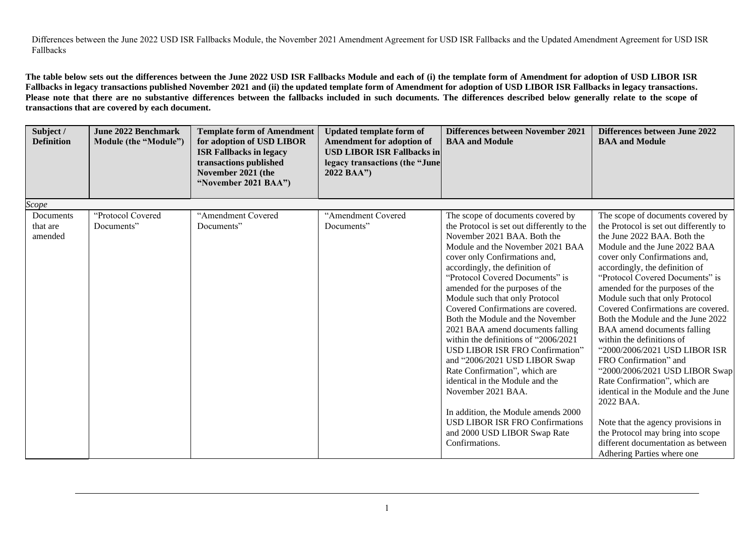Differences between the June 2022 USD ISR Fallbacks Module, the November 2021 Amendment Agreement for USD ISR Fallbacks and the Updated Amendment Agreement for USD ISR Fallbacks

**The table below sets out the differences between the June 2022 USD ISR Fallbacks Module and each of (i) the template form of Amendment for adoption of USD LIBOR ISR Fallbacks in legacy transactions published November 2021 and (ii) the updated template form of Amendment for adoption of USD LIBOR ISR Fallbacks in legacy transactions. Please note that there are no substantive differences between the fallbacks included in such documents. The differences described below generally relate to the scope of transactions that are covered by each document.** 

| Subject /<br><b>Definition</b>   | <b>June 2022 Benchmark</b><br>Module (the "Module") | <b>Template form of Amendment</b><br>for adoption of USD LIBOR<br><b>ISR Fallbacks in legacy</b><br>transactions published<br>November 2021 (the<br>"November 2021 BAA") | <b>Updated template form of</b><br><b>Amendment for adoption of</b><br><b>USD LIBOR ISR Fallbacks in</b><br>legacy transactions (the "June<br>2022 BAA") | Differences between November 2021<br><b>BAA and Module</b>                                                                                                                                                                                                                                                                                                                                                                                                                                                                                                                                                                                                                                                                                                                                  | Differences between June 2022<br><b>BAA and Module</b>                                                                                                                                                                                                                                                                                                                                                                                                                                                                                                                                                                                                                                                                                                                                        |
|----------------------------------|-----------------------------------------------------|--------------------------------------------------------------------------------------------------------------------------------------------------------------------------|----------------------------------------------------------------------------------------------------------------------------------------------------------|---------------------------------------------------------------------------------------------------------------------------------------------------------------------------------------------------------------------------------------------------------------------------------------------------------------------------------------------------------------------------------------------------------------------------------------------------------------------------------------------------------------------------------------------------------------------------------------------------------------------------------------------------------------------------------------------------------------------------------------------------------------------------------------------|-----------------------------------------------------------------------------------------------------------------------------------------------------------------------------------------------------------------------------------------------------------------------------------------------------------------------------------------------------------------------------------------------------------------------------------------------------------------------------------------------------------------------------------------------------------------------------------------------------------------------------------------------------------------------------------------------------------------------------------------------------------------------------------------------|
| <i>Scope</i>                     |                                                     |                                                                                                                                                                          |                                                                                                                                                          |                                                                                                                                                                                                                                                                                                                                                                                                                                                                                                                                                                                                                                                                                                                                                                                             |                                                                                                                                                                                                                                                                                                                                                                                                                                                                                                                                                                                                                                                                                                                                                                                               |
| Documents<br>that are<br>amended | "Protocol Covered<br>Documents"                     | "Amendment Covered<br>Documents"                                                                                                                                         | "Amendment Covered<br>Documents"                                                                                                                         | The scope of documents covered by<br>the Protocol is set out differently to the<br>November 2021 BAA. Both the<br>Module and the November 2021 BAA<br>cover only Confirmations and,<br>accordingly, the definition of<br>"Protocol Covered Documents" is<br>amended for the purposes of the<br>Module such that only Protocol<br>Covered Confirmations are covered.<br>Both the Module and the November<br>2021 BAA amend documents falling<br>within the definitions of "2006/2021<br><b>USD LIBOR ISR FRO Confirmation"</b><br>and "2006/2021 USD LIBOR Swap<br>Rate Confirmation", which are<br>identical in the Module and the<br>November 2021 BAA.<br>In addition, the Module amends 2000<br><b>USD LIBOR ISR FRO Confirmations</b><br>and 2000 USD LIBOR Swap Rate<br>Confirmations. | The scope of documents covered by<br>the Protocol is set out differently to<br>the June 2022 BAA. Both the<br>Module and the June 2022 BAA<br>cover only Confirmations and,<br>accordingly, the definition of<br>"Protocol Covered Documents" is<br>amended for the purposes of the<br>Module such that only Protocol<br>Covered Confirmations are covered.<br>Both the Module and the June 2022<br>BAA amend documents falling<br>within the definitions of<br>"2000/2006/2021 USD LIBOR ISR<br>FRO Confirmation" and<br>"2000/2006/2021 USD LIBOR Swap<br>Rate Confirmation", which are<br>identical in the Module and the June<br>2022 BAA.<br>Note that the agency provisions in<br>the Protocol may bring into scope<br>different documentation as between<br>Adhering Parties where one |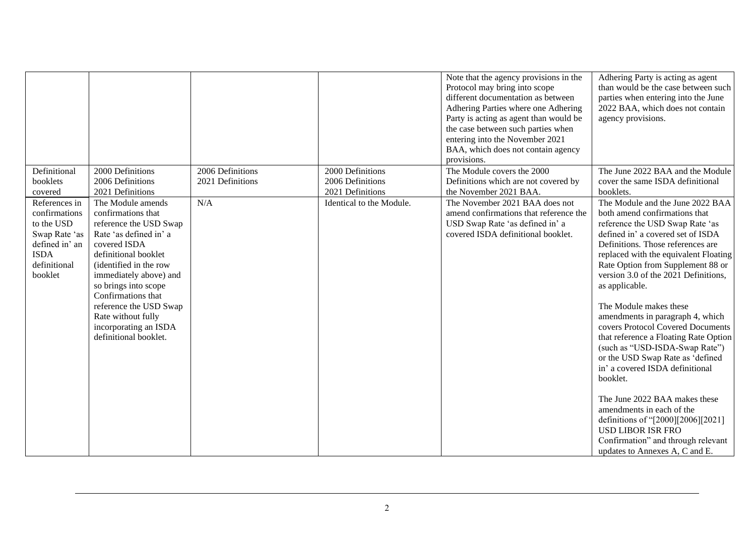|                                                                                                                           |                                                                                                                                                                                                                                                                                                                                         |                                      |                                                          | Note that the agency provisions in the<br>Protocol may bring into scope<br>different documentation as between<br>Adhering Parties where one Adhering<br>Party is acting as agent than would be<br>the case between such parties when<br>entering into the November 2021<br>BAA, which does not contain agency<br>provisions. | Adhering Party is acting as agent<br>than would be the case between such<br>parties when entering into the June<br>2022 BAA, which does not contain<br>agency provisions.                                                                                                                                                                                                                                                                                                                                                                                                                                                                                                                                                                                                                       |
|---------------------------------------------------------------------------------------------------------------------------|-----------------------------------------------------------------------------------------------------------------------------------------------------------------------------------------------------------------------------------------------------------------------------------------------------------------------------------------|--------------------------------------|----------------------------------------------------------|------------------------------------------------------------------------------------------------------------------------------------------------------------------------------------------------------------------------------------------------------------------------------------------------------------------------------|-------------------------------------------------------------------------------------------------------------------------------------------------------------------------------------------------------------------------------------------------------------------------------------------------------------------------------------------------------------------------------------------------------------------------------------------------------------------------------------------------------------------------------------------------------------------------------------------------------------------------------------------------------------------------------------------------------------------------------------------------------------------------------------------------|
| Definitional<br>booklets<br>covered                                                                                       | 2000 Definitions<br>2006 Definitions<br>2021 Definitions                                                                                                                                                                                                                                                                                | 2006 Definitions<br>2021 Definitions | 2000 Definitions<br>2006 Definitions<br>2021 Definitions | The Module covers the 2000<br>Definitions which are not covered by<br>the November 2021 BAA.                                                                                                                                                                                                                                 | The June 2022 BAA and the Module<br>cover the same ISDA definitional<br>booklets.                                                                                                                                                                                                                                                                                                                                                                                                                                                                                                                                                                                                                                                                                                               |
| References in<br>confirmations<br>to the USD<br>Swap Rate 'as<br>defined in' an<br><b>ISDA</b><br>definitional<br>booklet | The Module amends<br>confirmations that<br>reference the USD Swap<br>Rate 'as defined in' a<br>covered ISDA<br>definitional booklet<br>(identified in the row<br>immediately above) and<br>so brings into scope<br>Confirmations that<br>reference the USD Swap<br>Rate without fully<br>incorporating an ISDA<br>definitional booklet. | N/A                                  | Identical to the Module.                                 | The November 2021 BAA does not<br>amend confirmations that reference the<br>USD Swap Rate 'as defined in' a<br>covered ISDA definitional booklet.                                                                                                                                                                            | The Module and the June 2022 BAA<br>both amend confirmations that<br>reference the USD Swap Rate 'as<br>defined in' a covered set of ISDA<br>Definitions. Those references are<br>replaced with the equivalent Floating<br>Rate Option from Supplement 88 or<br>version 3.0 of the 2021 Definitions,<br>as applicable.<br>The Module makes these<br>amendments in paragraph 4, which<br>covers Protocol Covered Documents<br>that reference a Floating Rate Option<br>(such as "USD-ISDA-Swap Rate")<br>or the USD Swap Rate as 'defined<br>in' a covered ISDA definitional<br>booklet.<br>The June 2022 BAA makes these<br>amendments in each of the<br>definitions of "[2000][2006][2021]<br><b>USD LIBOR ISR FRO</b><br>Confirmation" and through relevant<br>updates to Annexes A, C and E. |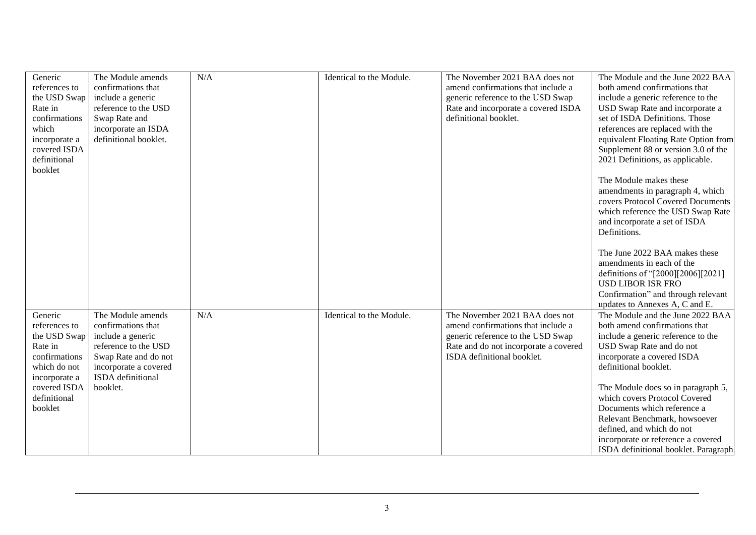| Generic                 | The Module amends                            | N/A | Identical to the Module. | The November 2021 BAA does not                                             | The Module and the June 2022 BAA                                  |
|-------------------------|----------------------------------------------|-----|--------------------------|----------------------------------------------------------------------------|-------------------------------------------------------------------|
| references to           | confirmations that                           |     |                          | amend confirmations that include a                                         | both amend confirmations that                                     |
| the USD Swap<br>Rate in | include a generic<br>reference to the USD    |     |                          | generic reference to the USD Swap<br>Rate and incorporate a covered ISDA   | include a generic reference to the                                |
| confirmations           |                                              |     |                          | definitional booklet.                                                      | USD Swap Rate and incorporate a<br>set of ISDA Definitions. Those |
| which                   | Swap Rate and                                |     |                          |                                                                            | references are replaced with the                                  |
| incorporate a           | incorporate an ISDA<br>definitional booklet. |     |                          |                                                                            | equivalent Floating Rate Option from                              |
| covered ISDA            |                                              |     |                          |                                                                            | Supplement 88 or version 3.0 of the                               |
| definitional            |                                              |     |                          |                                                                            | 2021 Definitions, as applicable.                                  |
| booklet                 |                                              |     |                          |                                                                            |                                                                   |
|                         |                                              |     |                          |                                                                            | The Module makes these                                            |
|                         |                                              |     |                          |                                                                            | amendments in paragraph 4, which                                  |
|                         |                                              |     |                          |                                                                            | covers Protocol Covered Documents                                 |
|                         |                                              |     |                          |                                                                            | which reference the USD Swap Rate                                 |
|                         |                                              |     |                          |                                                                            | and incorporate a set of ISDA                                     |
|                         |                                              |     |                          |                                                                            | Definitions.                                                      |
|                         |                                              |     |                          |                                                                            |                                                                   |
|                         |                                              |     |                          |                                                                            | The June 2022 BAA makes these                                     |
|                         |                                              |     |                          |                                                                            | amendments in each of the                                         |
|                         |                                              |     |                          |                                                                            | definitions of "[2000][2006][2021]                                |
|                         |                                              |     |                          |                                                                            | <b>USD LIBOR ISR FRO</b>                                          |
|                         |                                              |     |                          |                                                                            | Confirmation" and through relevant                                |
|                         |                                              |     |                          |                                                                            | updates to Annexes A, C and E.                                    |
| Generic                 | The Module amends                            | N/A | Identical to the Module. | The November 2021 BAA does not                                             | The Module and the June 2022 BAA                                  |
| references to           | confirmations that                           |     |                          | amend confirmations that include a                                         | both amend confirmations that                                     |
| the USD Swap<br>Rate in | include a generic<br>reference to the USD    |     |                          | generic reference to the USD Swap<br>Rate and do not incorporate a covered | include a generic reference to the<br>USD Swap Rate and do not    |
| confirmations           | Swap Rate and do not                         |     |                          | ISDA definitional booklet.                                                 | incorporate a covered ISDA                                        |
| which do not            | incorporate a covered                        |     |                          |                                                                            | definitional booklet.                                             |
| incorporate a           | ISDA definitional                            |     |                          |                                                                            |                                                                   |
| covered ISDA            | booklet.                                     |     |                          |                                                                            | The Module does so in paragraph 5,                                |
| definitional            |                                              |     |                          |                                                                            | which covers Protocol Covered                                     |
| booklet                 |                                              |     |                          |                                                                            | Documents which reference a                                       |
|                         |                                              |     |                          |                                                                            | Relevant Benchmark, howsoever                                     |
|                         |                                              |     |                          |                                                                            | defined, and which do not                                         |
|                         |                                              |     |                          |                                                                            | incorporate or reference a covered                                |
|                         |                                              |     |                          |                                                                            | ISDA definitional booklet. Paragraph                              |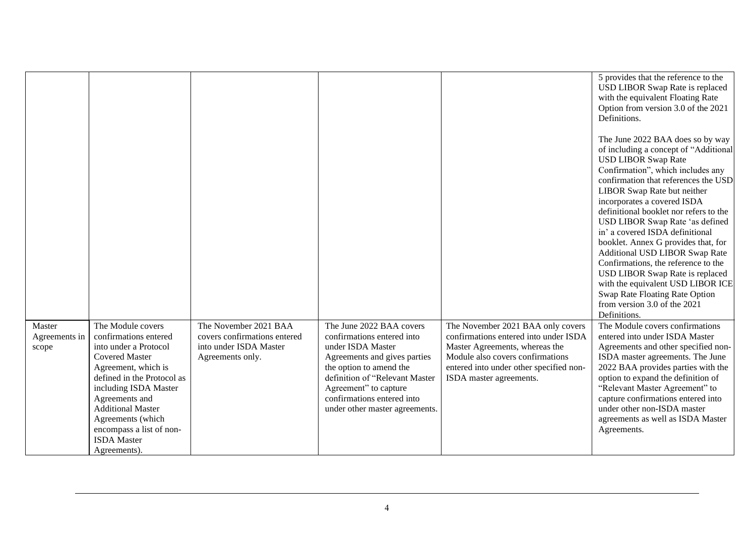|                                  |                                                                                                                                                                                                                                                                                                                 |                                                                                                     |                                                                                                                                                                                                                                                                   |                                                                                                                                                                                                                        | 5 provides that the reference to the<br>USD LIBOR Swap Rate is replaced<br>with the equivalent Floating Rate<br>Option from version 3.0 of the 2021<br>Definitions.<br>The June 2022 BAA does so by way<br>of including a concept of "Additional<br><b>USD LIBOR Swap Rate</b><br>Confirmation", which includes any<br>confirmation that references the USD<br>LIBOR Swap Rate but neither<br>incorporates a covered ISDA<br>definitional booklet nor refers to the<br>USD LIBOR Swap Rate 'as defined<br>in' a covered ISDA definitional<br>booklet. Annex G provides that, for |
|----------------------------------|-----------------------------------------------------------------------------------------------------------------------------------------------------------------------------------------------------------------------------------------------------------------------------------------------------------------|-----------------------------------------------------------------------------------------------------|-------------------------------------------------------------------------------------------------------------------------------------------------------------------------------------------------------------------------------------------------------------------|------------------------------------------------------------------------------------------------------------------------------------------------------------------------------------------------------------------------|----------------------------------------------------------------------------------------------------------------------------------------------------------------------------------------------------------------------------------------------------------------------------------------------------------------------------------------------------------------------------------------------------------------------------------------------------------------------------------------------------------------------------------------------------------------------------------|
|                                  |                                                                                                                                                                                                                                                                                                                 |                                                                                                     |                                                                                                                                                                                                                                                                   |                                                                                                                                                                                                                        | Additional USD LIBOR Swap Rate<br>Confirmations, the reference to the<br>USD LIBOR Swap Rate is replaced                                                                                                                                                                                                                                                                                                                                                                                                                                                                         |
|                                  |                                                                                                                                                                                                                                                                                                                 |                                                                                                     |                                                                                                                                                                                                                                                                   |                                                                                                                                                                                                                        | with the equivalent USD LIBOR ICE<br>Swap Rate Floating Rate Option                                                                                                                                                                                                                                                                                                                                                                                                                                                                                                              |
|                                  |                                                                                                                                                                                                                                                                                                                 |                                                                                                     |                                                                                                                                                                                                                                                                   |                                                                                                                                                                                                                        | from version $3.0$ of the $2021$<br>Definitions.                                                                                                                                                                                                                                                                                                                                                                                                                                                                                                                                 |
| Master<br>Agreements in<br>scope | The Module covers<br>confirmations entered<br>into under a Protocol<br><b>Covered Master</b><br>Agreement, which is<br>defined in the Protocol as<br>including ISDA Master<br>Agreements and<br><b>Additional Master</b><br>Agreements (which<br>encompass a list of non-<br><b>ISDA</b> Master<br>Agreements). | The November 2021 BAA<br>covers confirmations entered<br>into under ISDA Master<br>Agreements only. | The June 2022 BAA covers<br>confirmations entered into<br>under ISDA Master<br>Agreements and gives parties<br>the option to amend the<br>definition of "Relevant Master<br>Agreement" to capture<br>confirmations entered into<br>under other master agreements. | The November 2021 BAA only covers<br>confirmations entered into under ISDA<br>Master Agreements, whereas the<br>Module also covers confirmations<br>entered into under other specified non-<br>ISDA master agreements. | The Module covers confirmations<br>entered into under ISDA Master<br>Agreements and other specified non-<br>ISDA master agreements. The June<br>2022 BAA provides parties with the<br>option to expand the definition of<br>"Relevant Master Agreement" to<br>capture confirmations entered into<br>under other non-ISDA master<br>agreements as well as ISDA Master<br>Agreements.                                                                                                                                                                                              |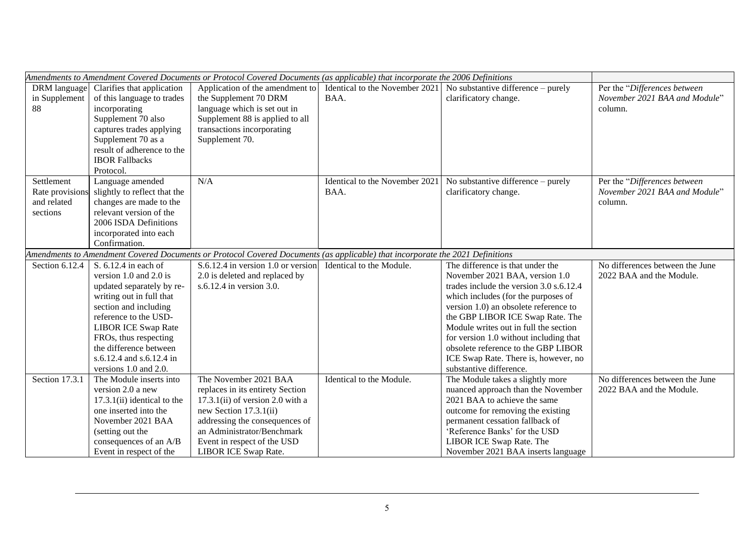|                                                         |                                                                                                                                                                                                                                                                                                 | Amendments to Amendment Covered Documents or Protocol Covered Documents (as applicable) that incorporate the 2006 Definitions                                                                                                                    |                                        |                                                                                                                                                                                                                                                                                                                                                                                                                                |                                                                          |
|---------------------------------------------------------|-------------------------------------------------------------------------------------------------------------------------------------------------------------------------------------------------------------------------------------------------------------------------------------------------|--------------------------------------------------------------------------------------------------------------------------------------------------------------------------------------------------------------------------------------------------|----------------------------------------|--------------------------------------------------------------------------------------------------------------------------------------------------------------------------------------------------------------------------------------------------------------------------------------------------------------------------------------------------------------------------------------------------------------------------------|--------------------------------------------------------------------------|
| DRM language<br>in Supplement<br>88                     | Clarifies that application<br>of this language to trades<br>incorporating<br>Supplement 70 also<br>captures trades applying<br>Supplement 70 as a<br>result of adherence to the<br><b>IBOR Fallbacks</b><br>Protocol.                                                                           | Application of the amendment to<br>the Supplement 70 DRM<br>language which is set out in<br>Supplement 88 is applied to all<br>transactions incorporating<br>Supplement 70.                                                                      | BAA.                                   | Identical to the November 2021   No substantive difference – purely<br>clarificatory change.                                                                                                                                                                                                                                                                                                                                   | Per the "Differences between<br>November 2021 BAA and Module"<br>column. |
| Settlement<br>Rate provision<br>and related<br>sections | Language amended<br>slightly to reflect that the<br>changes are made to the<br>relevant version of the<br>2006 ISDA Definitions<br>incorporated into each<br>Confirmation.                                                                                                                      | N/A                                                                                                                                                                                                                                              | Identical to the November 2021<br>BAA. | No substantive difference – purely<br>clarificatory change.                                                                                                                                                                                                                                                                                                                                                                    | Per the "Differences between<br>November 2021 BAA and Module"<br>column. |
|                                                         |                                                                                                                                                                                                                                                                                                 | Amendments to Amendment Covered Documents or Protocol Covered Documents (as applicable) that incorporate the 2021 Definitions                                                                                                                    |                                        |                                                                                                                                                                                                                                                                                                                                                                                                                                |                                                                          |
| Section 6.12.4                                          | S. 6.12.4 in each of<br>version 1.0 and 2.0 is<br>updated separately by re-<br>writing out in full that<br>section and including<br>reference to the USD-<br><b>LIBOR ICE Swap Rate</b><br>FROs, thus respecting<br>the difference between<br>s.6.12.4 and s.6.12.4 in<br>versions 1.0 and 2.0. | $S.6.12.4$ in version 1.0 or version<br>2.0 is deleted and replaced by<br>s.6.12.4 in version 3.0.                                                                                                                                               | Identical to the Module.               | The difference is that under the<br>November 2021 BAA, version 1.0<br>trades include the version 3.0 s.6.12.4<br>which includes (for the purposes of<br>version 1.0) an obsolete reference to<br>the GBP LIBOR ICE Swap Rate. The<br>Module writes out in full the section<br>for version 1.0 without including that<br>obsolete reference to the GBP LIBOR<br>ICE Swap Rate. There is, however, no<br>substantive difference. | No differences between the June<br>2022 BAA and the Module.              |
| Section 17.3.1                                          | The Module inserts into<br>version 2.0 a new<br>$17.3.1(ii)$ identical to the<br>one inserted into the<br>November 2021 BAA<br>(setting out the<br>consequences of an A/B<br>Event in respect of the                                                                                            | The November 2021 BAA<br>replaces in its entirety Section<br>$17.3.1(ii)$ of version 2.0 with a<br>new Section 17.3.1(ii)<br>addressing the consequences of<br>an Administrator/Benchmark<br>Event in respect of the USD<br>LIBOR ICE Swap Rate. | Identical to the Module.               | The Module takes a slightly more<br>nuanced approach than the November<br>2021 BAA to achieve the same<br>outcome for removing the existing<br>permanent cessation fallback of<br>'Reference Banks' for the USD<br>LIBOR ICE Swap Rate. The<br>November 2021 BAA inserts language                                                                                                                                              | No differences between the June<br>2022 BAA and the Module.              |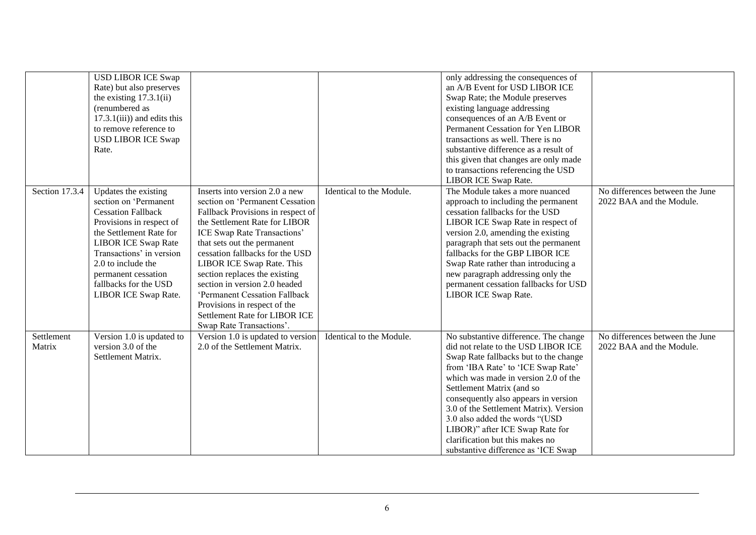|                      | <b>USD LIBOR ICE Swap</b><br>Rate) but also preserves<br>the existing $17.3.1(ii)$<br>(renumbered as<br>$17.3.1(iii)$ ) and edits this<br>to remove reference to<br><b>USD LIBOR ICE Swap</b><br>Rate.                                                                                    |                                                                                                                                                                                                                                                                                                                                                                                                                                                                       |                          | only addressing the consequences of<br>an A/B Event for USD LIBOR ICE<br>Swap Rate; the Module preserves<br>existing language addressing<br>consequences of an A/B Event or<br>Permanent Cessation for Yen LIBOR<br>transactions as well. There is no<br>substantive difference as a result of<br>this given that changes are only made<br>to transactions referencing the USD<br><b>LIBOR ICE Swap Rate.</b>                                                     |                                                             |
|----------------------|-------------------------------------------------------------------------------------------------------------------------------------------------------------------------------------------------------------------------------------------------------------------------------------------|-----------------------------------------------------------------------------------------------------------------------------------------------------------------------------------------------------------------------------------------------------------------------------------------------------------------------------------------------------------------------------------------------------------------------------------------------------------------------|--------------------------|-------------------------------------------------------------------------------------------------------------------------------------------------------------------------------------------------------------------------------------------------------------------------------------------------------------------------------------------------------------------------------------------------------------------------------------------------------------------|-------------------------------------------------------------|
| Section 17.3.4       | Updates the existing<br>section on 'Permanent<br><b>Cessation Fallback</b><br>Provisions in respect of<br>the Settlement Rate for<br><b>LIBOR ICE Swap Rate</b><br>Transactions' in version<br>2.0 to include the<br>permanent cessation<br>fallbacks for the USD<br>LIBOR ICE Swap Rate. | Inserts into version 2.0 a new<br>section on 'Permanent Cessation<br>Fallback Provisions in respect of<br>the Settlement Rate for LIBOR<br>ICE Swap Rate Transactions'<br>that sets out the permanent<br>cessation fallbacks for the USD<br>LIBOR ICE Swap Rate. This<br>section replaces the existing<br>section in version 2.0 headed<br>'Permanent Cessation Fallback<br>Provisions in respect of the<br>Settlement Rate for LIBOR ICE<br>Swap Rate Transactions'. | Identical to the Module. | The Module takes a more nuanced<br>approach to including the permanent<br>cessation fallbacks for the USD<br>LIBOR ICE Swap Rate in respect of<br>version 2.0, amending the existing<br>paragraph that sets out the permanent<br>fallbacks for the GBP LIBOR ICE<br>Swap Rate rather than introducing a<br>new paragraph addressing only the<br>permanent cessation fallbacks for USD<br><b>LIBOR ICE Swap Rate.</b>                                              | No differences between the June<br>2022 BAA and the Module. |
| Settlement<br>Matrix | Version 1.0 is updated to<br>version 3.0 of the<br>Settlement Matrix.                                                                                                                                                                                                                     | Version 1.0 is updated to version<br>2.0 of the Settlement Matrix.                                                                                                                                                                                                                                                                                                                                                                                                    | Identical to the Module. | No substantive difference. The change<br>did not relate to the USD LIBOR ICE<br>Swap Rate fallbacks but to the change<br>from 'IBA Rate' to 'ICE Swap Rate'<br>which was made in version 2.0 of the<br>Settlement Matrix (and so<br>consequently also appears in version<br>3.0 of the Settlement Matrix). Version<br>3.0 also added the words "(USD<br>LIBOR)" after ICE Swap Rate for<br>clarification but this makes no<br>substantive difference as 'ICE Swap | No differences between the June<br>2022 BAA and the Module. |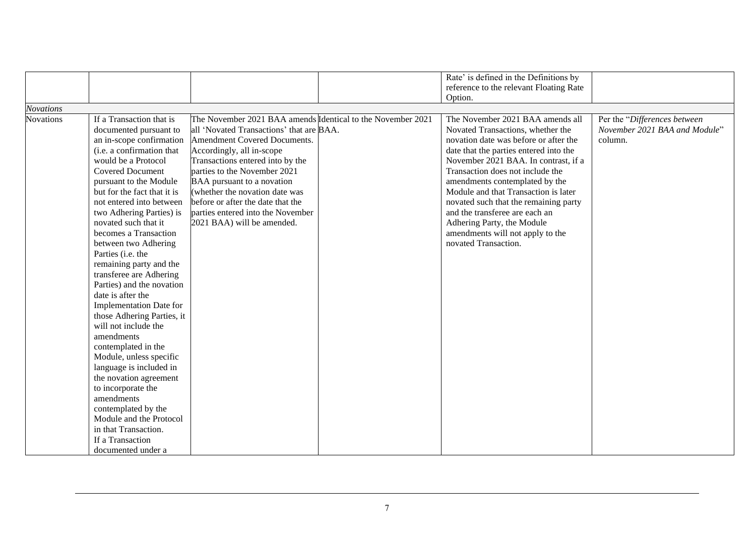|                                      |                                                                                                                                                                                                                                                                                                                                                                                                                                                                                                                                                                                                                                                                                                                                                                                                                              |                                                                                                                                                                                                                                                                                                                                                                                                                  | Rate' is defined in the Definitions by                                                                                                                                                                                                                                                                                                                                                                                                                                              |                                                                          |
|--------------------------------------|------------------------------------------------------------------------------------------------------------------------------------------------------------------------------------------------------------------------------------------------------------------------------------------------------------------------------------------------------------------------------------------------------------------------------------------------------------------------------------------------------------------------------------------------------------------------------------------------------------------------------------------------------------------------------------------------------------------------------------------------------------------------------------------------------------------------------|------------------------------------------------------------------------------------------------------------------------------------------------------------------------------------------------------------------------------------------------------------------------------------------------------------------------------------------------------------------------------------------------------------------|-------------------------------------------------------------------------------------------------------------------------------------------------------------------------------------------------------------------------------------------------------------------------------------------------------------------------------------------------------------------------------------------------------------------------------------------------------------------------------------|--------------------------------------------------------------------------|
|                                      |                                                                                                                                                                                                                                                                                                                                                                                                                                                                                                                                                                                                                                                                                                                                                                                                                              |                                                                                                                                                                                                                                                                                                                                                                                                                  | reference to the relevant Floating Rate<br>Option.                                                                                                                                                                                                                                                                                                                                                                                                                                  |                                                                          |
|                                      |                                                                                                                                                                                                                                                                                                                                                                                                                                                                                                                                                                                                                                                                                                                                                                                                                              |                                                                                                                                                                                                                                                                                                                                                                                                                  |                                                                                                                                                                                                                                                                                                                                                                                                                                                                                     |                                                                          |
| <b>Novations</b><br><b>Novations</b> | If a Transaction that is<br>documented pursuant to<br>an in-scope confirmation<br>(i.e. a confirmation that<br>would be a Protocol<br><b>Covered Document</b><br>pursuant to the Module<br>but for the fact that it is<br>not entered into between<br>two Adhering Parties) is<br>novated such that it<br>becomes a Transaction<br>between two Adhering<br>Parties (i.e. the<br>remaining party and the<br>transferee are Adhering<br>Parties) and the novation<br>date is after the<br>Implementation Date for<br>those Adhering Parties, it<br>will not include the<br>amendments<br>contemplated in the<br>Module, unless specific<br>language is included in<br>the novation agreement<br>to incorporate the<br>amendments<br>contemplated by the<br>Module and the Protocol<br>in that Transaction.<br>If a Transaction | The November 2021 BAA amends Identical to the November 2021<br>all 'Novated Transactions' that are BAA.<br>Amendment Covered Documents.<br>Accordingly, all in-scope<br>Transactions entered into by the<br>parties to the November 2021<br>BAA pursuant to a novation<br>(whether the novation date was<br>before or after the date that the<br>parties entered into the November<br>2021 BAA) will be amended. | The November 2021 BAA amends all<br>Novated Transactions, whether the<br>novation date was before or after the<br>date that the parties entered into the<br>November 2021 BAA. In contrast, if a<br>Transaction does not include the<br>amendments contemplated by the<br>Module and that Transaction is later<br>novated such that the remaining party<br>and the transferee are each an<br>Adhering Party, the Module<br>amendments will not apply to the<br>novated Transaction. | Per the "Differences between<br>November 2021 BAA and Module"<br>column. |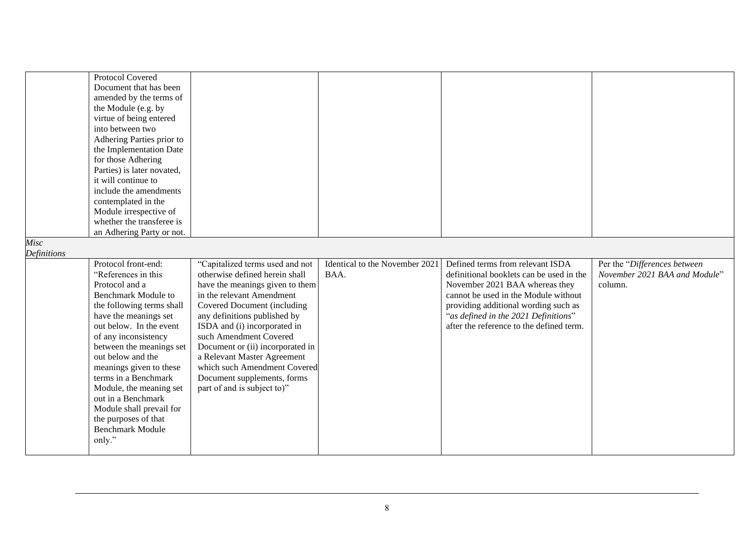|  | Protocol Covered<br>Document that has been<br>amended by the terms of<br>the Module (e.g. by<br>virtue of being entered<br>into between two<br>Adhering Parties prior to<br>the Implementation Date<br>for those Adhering<br>Parties) is later novated,<br>it will continue to<br>include the amendments<br>contemplated in the<br>Module irrespective of<br>whether the transferee is<br>an Adhering Party or not. |                                                                   |      |                                                                                  |                                                               |
|--|---------------------------------------------------------------------------------------------------------------------------------------------------------------------------------------------------------------------------------------------------------------------------------------------------------------------------------------------------------------------------------------------------------------------|-------------------------------------------------------------------|------|----------------------------------------------------------------------------------|---------------------------------------------------------------|
|  | "References in this                                                                                                                                                                                                                                                                                                                                                                                                 | "Capitalized terms used and not<br>otherwise defined herein shall | BAA. | definitional booklets can be used in the                                         | Per the "Differences between<br>November 2021 BAA and Module" |
|  |                                                                                                                                                                                                                                                                                                                                                                                                                     |                                                                   |      |                                                                                  |                                                               |
|  | Protocol and a                                                                                                                                                                                                                                                                                                                                                                                                      | have the meanings given to them                                   |      | November 2021 BAA whereas they                                                   | column.                                                       |
|  | <b>Benchmark Module to</b>                                                                                                                                                                                                                                                                                                                                                                                          | in the relevant Amendment                                         |      | cannot be used in the Module without                                             |                                                               |
|  | the following terms shall                                                                                                                                                                                                                                                                                                                                                                                           | Covered Document (including                                       |      | providing additional wording such as                                             |                                                               |
|  | have the meanings set<br>out below. In the event                                                                                                                                                                                                                                                                                                                                                                    | any definitions published by                                      |      | "as defined in the 2021 Definitions"<br>after the reference to the defined term. |                                                               |
|  | of any inconsistency                                                                                                                                                                                                                                                                                                                                                                                                | ISDA and (i) incorporated in<br>such Amendment Covered            |      |                                                                                  |                                                               |
|  | between the meanings set                                                                                                                                                                                                                                                                                                                                                                                            | Document or (ii) incorporated in                                  |      |                                                                                  |                                                               |
|  | out below and the                                                                                                                                                                                                                                                                                                                                                                                                   | a Relevant Master Agreement                                       |      |                                                                                  |                                                               |
|  | meanings given to these                                                                                                                                                                                                                                                                                                                                                                                             | which such Amendment Covered                                      |      |                                                                                  |                                                               |
|  | terms in a Benchmark                                                                                                                                                                                                                                                                                                                                                                                                | Document supplements, forms                                       |      |                                                                                  |                                                               |
|  | Module, the meaning set                                                                                                                                                                                                                                                                                                                                                                                             | part of and is subject to)"                                       |      |                                                                                  |                                                               |
|  | out in a Benchmark                                                                                                                                                                                                                                                                                                                                                                                                  |                                                                   |      |                                                                                  |                                                               |
|  | Module shall prevail for                                                                                                                                                                                                                                                                                                                                                                                            |                                                                   |      |                                                                                  |                                                               |
|  | the purposes of that                                                                                                                                                                                                                                                                                                                                                                                                |                                                                   |      |                                                                                  |                                                               |
|  | <b>Benchmark Module</b>                                                                                                                                                                                                                                                                                                                                                                                             |                                                                   |      |                                                                                  |                                                               |
|  | only."                                                                                                                                                                                                                                                                                                                                                                                                              |                                                                   |      |                                                                                  |                                                               |
|  |                                                                                                                                                                                                                                                                                                                                                                                                                     |                                                                   |      |                                                                                  |                                                               |